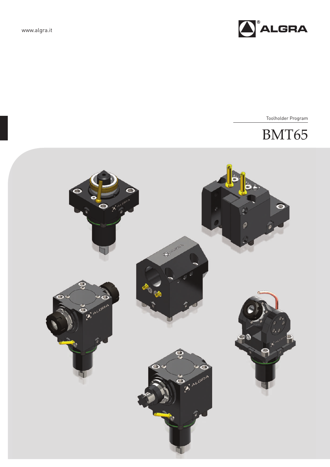www.algra.it



Toolholder Program



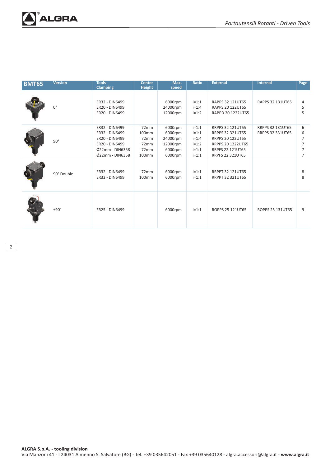$\overline{2}$ 

| <b>BMT65</b> | <b>Version</b> | <b>Tools</b><br><b>Clamping</b>                                                                            | <b>Center</b><br><b>Height</b>                             | Max.<br>speed                                                    | <b>Ratio</b>                                                   | <b>External</b>                                                                                                                     | Internal                             | Page        |
|--------------|----------------|------------------------------------------------------------------------------------------------------------|------------------------------------------------------------|------------------------------------------------------------------|----------------------------------------------------------------|-------------------------------------------------------------------------------------------------------------------------------------|--------------------------------------|-------------|
|              | $0^{\circ}$    | ER32 - DIN6499<br>ER20 - DIN6499<br>ER20 - DIN6499                                                         |                                                            | 6000rpm<br>24000rpm<br>12000rpm                                  | $i=1:1$<br>$i=1:4$<br>$i=1:2$                                  | RAPPS 32 121UT65<br>RAPPS 20 122UT65<br>RAPPD 20 1222UT65                                                                           | RAPPS 32 131UT65                     | 4<br>5<br>5 |
|              | $90^{\circ}$   | ER32 - DIN6499<br>ER32 - DIN6499<br>ER20 - DIN6499<br>ER20 - DIN6499<br>Ø22mm - DIN6358<br>Ø22mm - DIN6358 | 72mm<br>100mm<br>72mm<br>72mm<br>72mm<br>100 <sub>mm</sub> | 6000rpm<br>6000rpm<br>24000rpm<br>12000rpm<br>6000rpm<br>6000rpm | $i=1:1$<br>$i=1:1$<br>$i=1:4$<br>$i=1:2$<br>$i=1:1$<br>$i=1:1$ | RRPPS 32 121UT65<br>RRPPS 32 321UT65<br>RRPPS 20 122UT65<br>RRPPS 20 1222UT65<br><b>RRPFS 22 121UT65</b><br><b>RRPFS 22 321UT65</b> | RRPPS 32 131UT65<br>RRPPS 32 331UT65 | 6<br>6<br>7 |
|              | 90° Double     | ER32 - DIN6499<br>ER32 - DIN6499                                                                           | 72mm<br>100 <sub>mm</sub>                                  | 6000rpm<br>6000rpm                                               | $i=1:1$<br>$i=1:1$                                             | RRPPT 32 121UT65<br>RRPPT 32 321UT65                                                                                                |                                      | 8<br>8      |
|              | ±90°           | ER25 - DIN6499                                                                                             |                                                            | 6000rpm                                                          | $i=1:1$                                                        | ROPPS 25 121UT65                                                                                                                    | ROPPS 25 131UT65                     | 9           |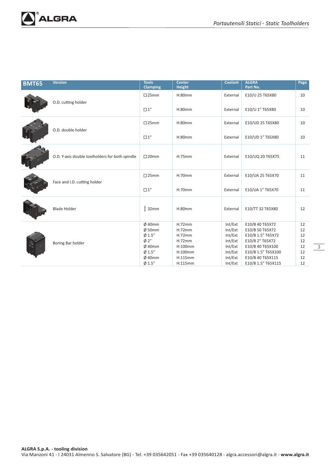$\overline{3}$ 

| <b>BMT65</b> | <b>Version</b>                                  | <b>Tools</b><br><b>Clamping</b>        | <b>Center</b><br><b>Height</b> | <b>Coolant</b>     | <b>ALGRA</b><br>Part No.             | Page     |
|--------------|-------------------------------------------------|----------------------------------------|--------------------------------|--------------------|--------------------------------------|----------|
|              | O.D. cutting holder                             | $\square$ 25mm                         | H:80mm                         | External           | E10/U 25 T65X80                      | 10       |
|              |                                                 | $\square$ 1"                           | H:80mm                         | External           | E10/U 1" T65X80                      | 10       |
|              | O.D. double holder                              | $\square$ 25mm                         | H:80mm                         | External           | E10/UD 25 T65X80                     | 10       |
|              |                                                 | $\square$ 1"                           | H:80mm                         | External           | E10/UD 1" T65X80                     | 10       |
|              | O.D. Y-axis double toolholders for both spindle | $\square$ 20mm                         | H:75mm                         | External           | E10/UQ 20 T65X75                     | 11       |
|              | Face and I.D. cutting holder                    | $\square$ 25mm                         | H:70mm                         | External           | E10/UA 25 T65X70                     | 11       |
|              |                                                 | $\square$ 1"                           | H:70mm                         | External           | E10/UA 1" T65X70                     | 11       |
|              | <b>Blade Holder</b>                             | 32mm                                   | H:80mm                         | External           | E10/TT 32 T65X80                     | 12       |
|              |                                                 | $Ø$ 40mm                               | H:72mm                         | Int/Ext            | E10/B 40 T65X72                      | 12       |
|              |                                                 | $\varnothing$ 50mm<br>$\emptyset$ 1.5" | H:72mm<br>H:72mm               | Int/Ext<br>Int/Ext | E10/B 50 T65X72<br>E10/B 1.5" T65X72 | 12<br>12 |
|              | Boring Bar holder                               | Ø2"                                    | H:72mm                         | Int/Ext            | E10/B 2" T65X72                      | 12       |
|              |                                                 | $\emptyset$ 40mm                       | H:100mm                        | Int/Ext            | E10/B 40 T65X100                     | 12       |
|              |                                                 | $\emptyset$ 1.5"                       | H:100mm                        | Int/Ext            | E10/B 1.5" T65X100                   | 12       |
|              |                                                 | $\phi$ 40mm                            | H:115mm                        | Int/Ext            | E10/B 40 T65X115                     | 12       |
|              |                                                 | $\emptyset$ 1.5"                       | H:115mm                        | Int/Ext            | E10/B 1.5" T65X115                   | 12       |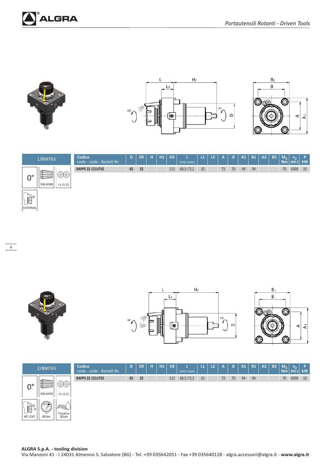







| Codice<br>1/BMT65                    | D<br>code - code - Bestell Nr. | ER | H | H1 | H2  | (min-max)        | L1 | L2 | $\mathbf{A}$ | B. | A1 | <b>B1</b> | A2 | <b>B2</b> | $M_2$ | n <sub>2</sub><br>$Nm   min-1 $ | kW. |
|--------------------------------------|--------------------------------|----|---|----|-----|------------------|----|----|--------------|----|----|-----------|----|-----------|-------|---------------------------------|-----|
|                                      | 65<br><b>RAPPS 32 121UT65</b>  | 32 |   |    | 112 | $68,5 \div 72,2$ | 32 |    | 73           | 70 | 94 | 94        |    |           | 70    | 6000                            | 10  |
| $\frac{1}{20202}$<br>$0^{\circ}$     |                                |    |   |    |     |                  |    |    |              |    |    |           |    |           |       |                                 |     |
| <b>DIN 6499</b><br>$+1(1:1)$         |                                |    |   |    |     |                  |    |    |              |    |    |           |    |           |       |                                 |     |
| $\widetilde{\mathbb{H}}$<br>EXTERNAL |                                |    |   |    |     |                  |    |    |              |    |    |           |    |           |       |                                 |     |



4





|                                  | 2/BMT65         |                                 | Codice<br>code - code - Bestell Nr. | D  | <b>ER</b> | н | H1 | H2  | (min-max)        | L1 | L <sub>2</sub> | A  | -B | A1 | <b>B1</b> | A2 | <b>B2</b> | M <sub>2</sub><br>N <sub>m</sub> | n <sub>2</sub><br>$min-1$ | <b>kW</b> |
|----------------------------------|-----------------|---------------------------------|-------------------------------------|----|-----------|---|----|-----|------------------|----|----------------|----|----|----|-----------|----|-----------|----------------------------------|---------------------------|-----------|
| $0^{\circ}$                      | <b>DIN 6499</b> | $+1(1:1)$                       | <b>RAPPS 32 131UT65</b>             | 65 | 32        |   |    | 112 | $68,5 \div 72,2$ | 32 |                | 73 | 70 | 94 | 94        |    |           | 70                               | 6000                      | 10        |
| $\mathbb{H}^*$<br>€<br>INT./EXT. | 80 bar          | a (<br>Filtration<br>$30 \mu m$ |                                     |    |           |   |    |     |                  |    |                |    |    |    |           |    |           |                                  |                           |           |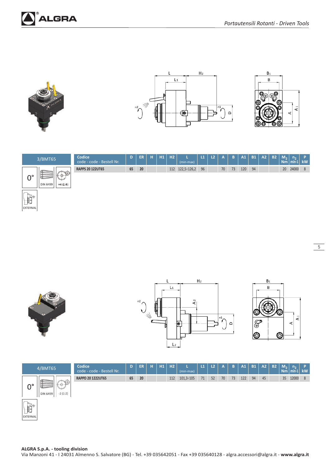







|                                                                                                                                                                                                                                                                                                                                                                 | 3/BMT65                                        | Codice<br>code - code - Bestell Nr. | D  | ER              | н | H1 | H2 | (min-max)         | L1 | L <sub>2</sub> | A  | B  | A1  | <b>B1</b> | AA2 | <b>B2</b> | $M_2$<br>Nm | $\begin{vmatrix} n_2 \\ \text{min-1} \end{vmatrix}$ | VP.<br><b>kW</b> |
|-----------------------------------------------------------------------------------------------------------------------------------------------------------------------------------------------------------------------------------------------------------------------------------------------------------------------------------------------------------------|------------------------------------------------|-------------------------------------|----|-----------------|---|----|----|-------------------|----|----------------|----|----|-----|-----------|-----|-----------|-------------|-----------------------------------------------------|------------------|
| $0^{\circ}$                                                                                                                                                                                                                                                                                                                                                     | Mystig<br>ક્—⊕<br>$+4(1:4)$<br><b>DIN 6499</b> | <b>RAPPS 20 122UT65</b>             | 65 | 20 <sup>7</sup> |   |    |    | 112 122,5 - 126,2 | 96 |                | 70 | 73 | 120 | 94        |     |           |             | 20 24000                                            | 8                |
| $\begin{picture}(120,110) \put(0,0){\line(1,0){10}} \put(15,0){\line(1,0){10}} \put(15,0){\line(1,0){10}} \put(15,0){\line(1,0){10}} \put(15,0){\line(1,0){10}} \put(15,0){\line(1,0){10}} \put(15,0){\line(1,0){10}} \put(15,0){\line(1,0){10}} \put(15,0){\line(1,0){10}} \put(15,0){\line(1,0){10}} \put(15,0){\line(1,0){10}} \put(15,0){\line$<br>EXTERNAL |                                                |                                     |    |                 |   |    |    |                   |    |                |    |    |     |           |     |           |             |                                                     |                  |







 $\overline{5}$ 

| 4/BMT65                                                                                       | Codice<br>code - code - Bestell Nr. | D  | <b>ER</b> | н | H1 | H2  | (min-max)        | L1 | L2 | A  | B  | A1  | <b>B1</b> | A2 | <b>B2</b> | $\frac{M_2}{Nm}$ | $\frac{n_2}{\text{min-1}}$ | (P)<br><b>kW</b> |
|-----------------------------------------------------------------------------------------------|-------------------------------------|----|-----------|---|----|-----|------------------|----|----|----|----|-----|-----------|----|-----------|------------------|----------------------------|------------------|
| mustre<br>$\xi \oplus \overline{\phantom{0}}$<br>$0^{\circ}$<br>hoos<br>$-2(1:2)$<br>DIN 6499 | RAPPD 20 1222UT65                   | 65 | 20        |   |    | 112 | $101,3 \div 105$ | 71 | 52 | 70 | 73 | 122 | 94        | 45 |           | 35               | 12000                      | 8                |
| $\mathbb{H}^*$<br>EXTERNAL                                                                    |                                     |    |           |   |    |     |                  |    |    |    |    |     |           |    |           |                  |                            |                  |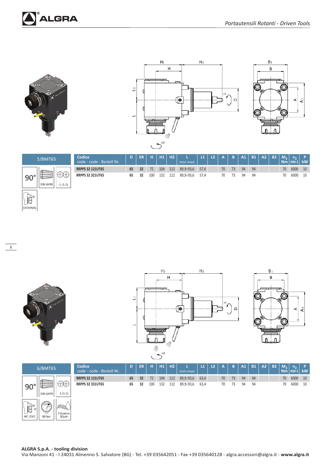



 $90^\circ$ 

 $\bigoplus_{i=1}^{\infty}$ EXTERNAL





| 5/BMT65  |                                                                                   | Codice<br>code - code - Bestell Nr. | D. | ER   | H   |     | $H1$ $H2$ | $(min-max)$ | $\mathbf{L}$ | L2 |    | $A \mid B$ |    |     | $AI$ $BI$ $A2$ | $ B2 M_2 $ | $\begin{array}{c c} M_2 & n_2 & P \\ \hline Nm & \text{min-1} & kW \end{array}$ |    |
|----------|-----------------------------------------------------------------------------------|-------------------------------------|----|------|-----|-----|-----------|-------------|--------------|----|----|------------|----|-----|----------------|------------|---------------------------------------------------------------------------------|----|
|          |                                                                                   | <b>RRPPS 32 121UT65</b>             | 65 | 32   | 72  | 104 | 112       | $89,9-93,6$ | 57.4         |    | 70 | 73         | 94 | 94  |                |            | 70 6000                                                                         | 10 |
|          | $\begin{array}{c} \xi_0 \xi_0 \\ \xi_1 \xi_2 \\ \xi_3 \xi_4 \xi_5 \\ \end{array}$ | <b>RRPPS 32 321UT65</b>             | 65 | - 32 | 100 | 132 | 112       | 89,9÷93,6   | 57.4         |    | 70 |            | 94 | -94 |                | 70         | 6000                                                                            | 10 |
| DIN 6499 | $-1(1:1)$                                                                         |                                     |    |      |     |     |           |             |              |    |    |            |    |     |                |            |                                                                                 |    |



 $\overline{6}$ 





|                        | 6/BMT65     |                          | Codice<br>code - code - Bestell Nr. | D  | ER | н   | H1  | H2  | $(min-max)$ | L1   | L <sub>2</sub> | A. | в  | A1 | <b>B1</b> | A2 | <b>B2</b> | M <sub>2</sub><br>Nm' | $n_{2}$<br>$min-1$ | P<br>kW. |
|------------------------|-------------|--------------------------|-------------------------------------|----|----|-----|-----|-----|-------------|------|----------------|----|----|----|-----------|----|-----------|-----------------------|--------------------|----------|
|                        |             |                          | <b>RRPPS 32 131UT65</b>             | 65 | 32 | 72  | 104 | 112 | 89,9÷93,6   | 63,4 |                | 70 | 73 | 94 | 94        |    |           | 70                    | 6000               | 10       |
| $90^{\circ}$           |             | दी देखें दे              | <b>RRPPS 32 331UT65</b>             | 65 | 32 | 100 | 132 | 112 | 89,9÷93,6   | 63,4 |                | 70 | 73 | 94 | 94        |    |           | 70                    | 6000               | - 10     |
|                        | DIN 6499    | $-1(1:1)$                |                                     |    |    |     |     |     |             |      |                |    |    |    |           |    |           |                       |                    |          |
| JU T<br>€<br>INT./EXT. | ∕<br>80 bar | Filtration<br>$30 \mu m$ |                                     |    |    |     |     |     |             |      |                |    |    |    |           |    |           |                       |                    |          |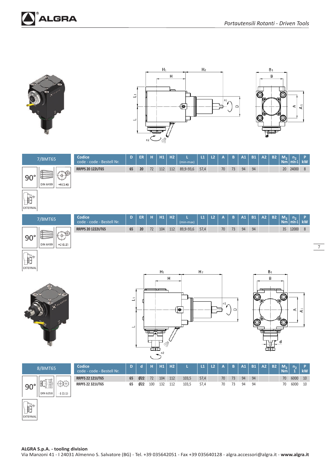









| 7/BMT65                      | Codice<br>code - code - Bestell Nr. | D. | ER | н  | <b>H1</b> | H2  | (min-max) | L1   | L2 | $\overline{A}$ | / B/ | A1 |     | $B1 \mid A2$ | <b>B2</b> | M <sub>2</sub> | n <sub>2</sub><br>Nm   min-1   kW | P |
|------------------------------|-------------------------------------|----|----|----|-----------|-----|-----------|------|----|----------------|------|----|-----|--------------|-----------|----------------|-----------------------------------|---|
| <b>THERE</b>                 | <b>RRPPS 20 122UT65</b>             | 65 | 20 | 72 | 112       | 112 | 89,9÷93,6 | 57,4 |    | 70             | 73   | 94 | -94 |              |           |                | 20 24000                          |   |
| non                          |                                     |    |    |    |           |     |           |      |    |                |      |    |     |              |           |                |                                   |   |
| <b>DIN 6499</b><br>$+4(1:4)$ |                                     |    |    |    |           |     |           |      |    |                |      |    |     |              |           |                |                                   |   |
|                              |                                     |    |    |    |           |     |           |      |    |                |      |    |     |              |           |                |                                   |   |

| 7/BMT65                      | Codice<br>code - code - Bestell Nr. | D  | ER. | (HII) |     | $H1$ $H2$ | $(min-max)$ | ี เ1 | L2 | A  | B <sub>1</sub> |    | $A1 \mid B1 \mid A2 \mid$ |  | $B2 \mid M_2$ | n <sub>2</sub><br>$Nm  min-1 $ kW | $\blacksquare$ |
|------------------------------|-------------------------------------|----|-----|-------|-----|-----------|-------------|------|----|----|----------------|----|---------------------------|--|---------------|-----------------------------------|----------------|
| mysos                        | <b>RRPPS 20 1222UT65</b>            | 65 | 20  | 72    | 104 | 112       | 89,9÷93,6   | 57,4 |    | 70 | 73             | 94 | 94                        |  | 35            | 12000                             | 8              |
|                              |                                     |    |     |       |     |           |             |      |    |    |                |    |                           |  |               |                                   |                |
| $+2(1:2)$<br><b>DIN 6499</b> |                                     |    |     |       |     |           |             |      |    |    |                |    |                           |  |               |                                   |                |

 $\begin{picture}(40,40) \put(0,0){\line(1,0){155}} \put(15,0){\line(1,0){155}} \put(15,0){\line(1,0){155}} \put(15,0){\line(1,0){155}} \put(15,0){\line(1,0){155}} \put(15,0){\line(1,0){155}} \put(15,0){\line(1,0){155}} \put(15,0){\line(1,0){155}} \put(15,0){\line(1,0){155}} \put(15,0){\line(1,0){155}} \put(15,0){\line(1,0){155}} \$ **EXTERNAL** 

 $90^\circ$ 







 $\overline{7}$ 

|                                | 8/BMT65           |           | Codice <sup>1</sup><br>code - code - Bestell Nr. | D  | -d  | н   | H1  | H2  |       | L1   | L <sub>2</sub> | $\mathbf{A}$ | B  | A1 | <b>B1</b> | AA2 | <b>B2</b> | M <sub>2</sub><br><b>Nm</b> | n <sub>2</sub> | (P)<br>kW |
|--------------------------------|-------------------|-----------|--------------------------------------------------|----|-----|-----|-----|-----|-------|------|----------------|--------------|----|----|-----------|-----|-----------|-----------------------------|----------------|-----------|
|                                |                   | mon       | <b>RRPFS 22 121UT65</b>                          | 65 | Ø22 | 72  | 104 | 112 | 103,5 | 57,4 |                | 70           | 73 | 94 | 94        |     |           | 70                          | 6000           | 10        |
| $90^{\circ}$                   | $R^{\pm}$<br>י⊫∪ו | 20303     | <b>RRPFS 22 321UT65</b>                          | 65 | Ø22 | 100 | 132 | 112 | 103,5 | 57,4 |                | 70           | 73 | 94 | 94        |     |           | 70                          | 6000           | - 10      |
|                                | <b>DIN 6358</b>   | $-1(1:1)$ |                                                  |    |     |     |     |     |       |      |                |              |    |    |           |     |           |                             |                |           |
| $\overline{\phantom{0}}$<br>H) |                   |           |                                                  |    |     |     |     |     |       |      |                |              |    |    |           |     |           |                             |                |           |

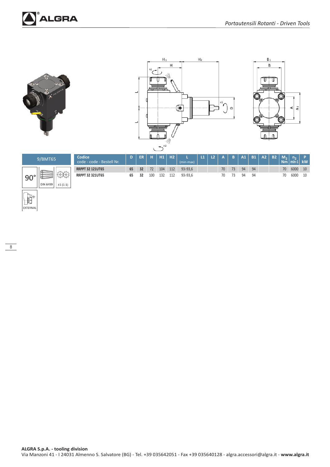







| 9/BMT65    |                 |                   | Codice<br>code - code - Bestell Nr. | D  | <b>ER</b> |     | $H$   $H1$ | H2  | (min-max)      | L1 | L2 | $\blacksquare$ | $-B1$ |    |    | $A1 \mid B1 \mid A2 \mid$ |    | $B2 \mid M_2 \mid n_2 \mid$<br>$\begin{array}{ c c c c }\n\hline\nM_2 & n_2 & P \\ \hline\nNm & \text{min-1} & \text{kW}\n\end{array}$ |     |
|------------|-----------------|-------------------|-------------------------------------|----|-----------|-----|------------|-----|----------------|----|----|----------------|-------|----|----|---------------------------|----|----------------------------------------------------------------------------------------------------------------------------------------|-----|
|            |                 |                   | <b>RRPPT 32 121UT65</b>             | 65 | 32        | 72  | 104        | 112 | $93 \div 93.6$ |    |    | 70             | 73    | 94 | 94 |                           | 70 | 6000                                                                                                                                   | 10  |
| $90^\circ$ |                 | $\frac{1}{20202}$ | <b>RRPPT 32 321UT65</b>             | 65 | -32       | 100 | 132        | 112 | $93 - 93.6$    |    |    | 70             | 73    | 94 | 94 |                           | 70 | 6000                                                                                                                                   | -10 |
|            | <b>DIN 6499</b> | ±1(1:1)           |                                     |    |           |     |            |     |                |    |    |                |       |    |    |                           |    |                                                                                                                                        |     |



 $\overline{8}$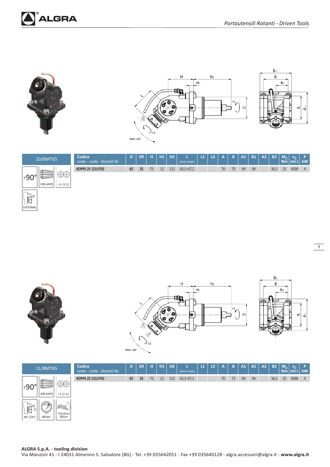

















|                                  | 11/BMT65    |                                                                                                                                                                                                                                                                                                                                                                          | Codice<br>code - code - Bestell Nr. | D  | ER | н  | <b>H1</b> | <b>H2</b> | (min-max)   | L1 | L <sub>2</sub> | A  | B  | A1 | <b>B1</b> | A2 | <b>B2</b> | M <sub>2</sub><br>Nm <sup>'</sup> | n <sub>2</sub><br>$min-1$ | P<br>kW        |
|----------------------------------|-------------|--------------------------------------------------------------------------------------------------------------------------------------------------------------------------------------------------------------------------------------------------------------------------------------------------------------------------------------------------------------------------|-------------------------------------|----|----|----|-----------|-----------|-------------|----|----------------|----|----|----|-----------|----|-----------|-----------------------------------|---------------------------|----------------|
| $1^{\pm}90^{\circ}$              | DIN 6499    | $\begin{array}{c} \displaystyle \sum_{i=1}^{n} \sum_{j=1}^{n} \sum_{j=1}^{n} \sum_{j=1}^{n} \sum_{j=1}^{n} \sum_{j=1}^{n} \sum_{j=1}^{n} \sum_{j=1}^{n} \sum_{j=1}^{n} \sum_{j=1}^{n} \sum_{j=1}^{n} \sum_{j=1}^{n} \sum_{j=1}^{n} \sum_{j=1}^{n} \sum_{j=1}^{n} \sum_{j=1}^{n} \sum_{j=1}^{n} \sum_{j=1}^{n} \sum_{j=1}^{n} \sum_{j=1}^{n} \sum_{j=1}^{n}$<br>$+1(1:1)$ | <b>ROPPS 25 131UT65</b>             | 65 | 25 | 75 | 12        | 112       | $63,5-67,2$ |    |                | 70 | 73 | 94 | 94        |    | 36,5      | 25                                | 6000                      | $\overline{4}$ |
| $\mathbb{H}^*$<br>€<br>INT./EXT. | ▭<br>80 bar | J.<br><b>Filtration</b><br>30 <sub>µm</sub>                                                                                                                                                                                                                                                                                                                              |                                     |    |    |    |           |           |             |    |                |    |    |    |           |    |           |                                   |                           |                |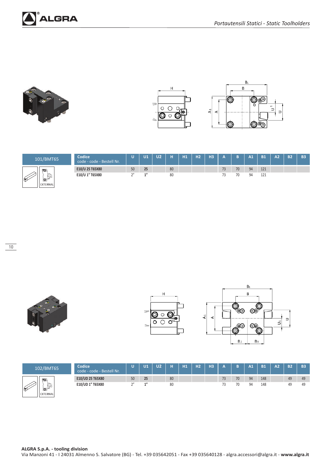







| 101/BMT65            | Codice<br>code - code - Bestell Nr. |          | U <sub>1</sub> | U <sub>2</sub> | н  | H1 | H <sub>2</sub> | H3 | А  |    | A1 | <b>B1</b> | A <sub>2</sub> | <b>B2</b> | <b>B3</b> |
|----------------------|-------------------------------------|----------|----------------|----------------|----|----|----------------|----|----|----|----|-----------|----------------|-----------|-----------|
| 90                   | E10/U 25 T65X80                     | 50       | 25             |                | 80 |    |                |    | 73 | 70 | 94 | 121       |                |           |           |
| ĶA<br>☎°<br>EXTERNAL | E10/U 1" T65X80                     | $\gamma$ | 1              |                | 80 |    |                |    | 73 | 70 | 94 | 121       |                |           |           |







|   | 102/BMT65                    | Codice<br>code - code - Bestell Nr. | U  | U1 | U <sub>2</sub> | н  | H1 | H <sub>2</sub> | H <sub>3</sub> | $\overline{A}$ |    | A1 | <b>B1</b> | A <sub>2</sub> | B <sub>2</sub> | <b>B3</b> |
|---|------------------------------|-------------------------------------|----|----|----------------|----|----|----------------|----------------|----------------|----|----|-----------|----------------|----------------|-----------|
|   | <b>PO</b>                    | E10/UD 25 T65X80                    | 50 | 25 |                | 80 |    |                |                | 73             | 70 | 94 | 148       |                | 49             | 49        |
| € | $\bullet$<br><b>EXTERNAL</b> | E10/UD 1" T65X80                    |    | 1  |                | 80 |    |                |                | ر ،            | 70 | 94 | 148       |                | 49             | 49        |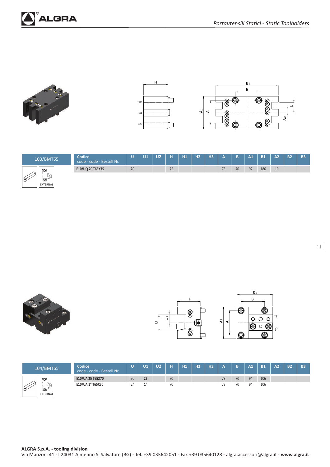



EXTERNAL

 $\bigcirc$ 

|           | Н |  |
|-----------|---|--|
|           |   |  |
| ₹         |   |  |
|           |   |  |
| $=$<br>-- |   |  |
| $\geq$    |   |  |



| 103/BMT65       | Codice<br>code - code - Bestell Nr. | T  | ΠŊ | U2 | ш  | <b>THI</b> | H2 | <b>TH3</b> |    |    | A1 | <b>B1</b> | A <sub>2</sub> | <b>B2</b> | <b>B3</b> |
|-----------------|-------------------------------------|----|----|----|----|------------|----|------------|----|----|----|-----------|----------------|-----------|-----------|
| <b>O</b>        | E10/UQ 20 T65X75                    | 20 |    |    | 75 |            |    |            | 73 | 70 | 97 | 186       | 10             |           |           |
| Ŋд<br>$\bullet$ |                                     |    |    |    |    |            |    |            |    |    |    |           |                |           |           |





| 104/BMT65             | Codice<br>code - code - Bestell Nr. |          | U1             | $\overline{1}$ | н  | H1 | <b>H2</b> | H <sub>3</sub> | A  | B  | A1 | <b>B1</b> | A <sub>2</sub> | <b>B2</b> | <b>B3</b> |
|-----------------------|-------------------------------------|----------|----------------|----------------|----|----|-----------|----------------|----|----|----|-----------|----------------|-----------|-----------|
| <b>PO</b>             | E10/UA 25 T65X70                    | 50       | 25             |                | 70 |    |           |                | 73 | 70 | 94 | 106       |                |           |           |
| $\bullet$<br>EXTERNAL | E10/UA 1" T65X70                    | $\gamma$ | 1 <sup>n</sup> |                | 70 |    |           |                | 73 | 70 | 94 | 106       |                |           |           |

**ALGRA S.p.A. - tooling division** Via Manzoni 41 - I 24031 Almenno S. Salvatore (BG) - Tel. +39 035642051 - Fax +39 035640128 - algra.accessori@algra.it - **www.algra.it**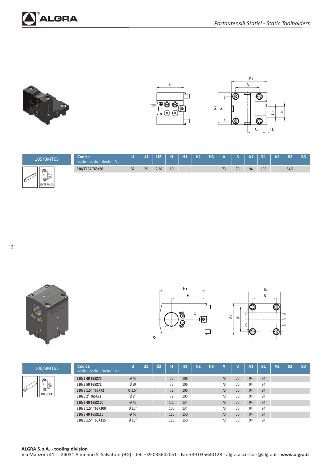



| 105/BMT65                                     | <b>Codice</b><br>code - code - Bestell Nr. | U  | U1 | U <sub>2</sub> | m  | H1 | H <sub>2</sub> | H <sub>3</sub> | $\overline{A}$ |    | A1 | <b>B1</b> | <b>A2</b> | <b>B2</b> | <b>B3</b> |
|-----------------------------------------------|--------------------------------------------|----|----|----------------|----|----|----------------|----------------|----------------|----|----|-----------|-----------|-----------|-----------|
| 90                                            | E10/TT 32 T65X80                           | 32 | 25 | 2,36           | 80 |    |                |                | 73             | 70 | 94 | 105       |           | 54,5      |           |
| ⊿<br>ΡÆ<br>C<br>$\sigma^*$<br><b>EXTERNAL</b> |                                            |    |    |                |    |    |                |                |                |    |    |           |           |           |           |







| 106/BMT65      | Codice<br>code - code - Bestell Nr. | d                | $d1$ | d2 | н   | H1  | H <sub>2</sub> | H <sub>3</sub> | $\overline{A}$ | B  | A1 | <b>B1</b> | A2 | <b>B2</b> | <b>B3</b> |
|----------------|-------------------------------------|------------------|------|----|-----|-----|----------------|----------------|----------------|----|----|-----------|----|-----------|-----------|
| 90             | E10/B 40 T65X72                     | $\emptyset$ 40   |      |    | 72  | 106 |                |                | 73             | 70 | 94 | 94        |    |           |           |
| $\mathbb{R}^3$ | E10/B 50 T65X72                     | $\emptyset$ 50   |      |    | 72  | 106 |                |                | 73             | 70 | 94 | 94        |    |           |           |
| ⊕              | E10/B 1.5" T65X72                   | $\emptyset$ 1.5" |      |    | 72  | 106 |                |                | 73             | 70 | 94 | 94        |    |           |           |
| INT./EXT.      | E10/B 2" T65X72                     | $\emptyset$ 2"   |      |    | 72  | 106 |                |                | 73             | 70 | 94 | 94        |    |           |           |
|                | E10/B 40 T65X100                    | $\emptyset$ 40   |      |    | 100 | 134 |                |                | 73             | 70 | 94 | 94        |    |           |           |
|                | E10/B 1.5" T65X100                  | $\phi$ 1.5"      |      |    | 100 | 134 |                |                | 73             | 70 | 94 | 94        |    |           |           |
|                | E10/B 40 T65X115                    | $\emptyset$ 40   |      |    | 115 | 150 |                |                | 73             | 70 | 94 | 94        |    |           |           |
|                | E10/B 1.5" T65X115                  | $\phi$ 1.5"      |      |    | 115 | 150 |                |                | 73             | 70 | 94 | 94        |    |           |           |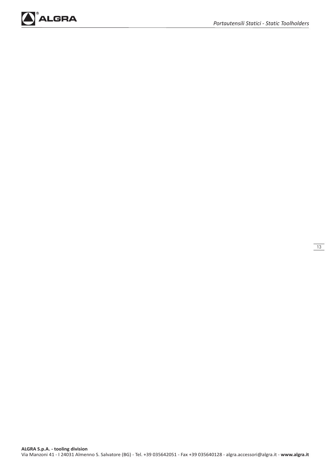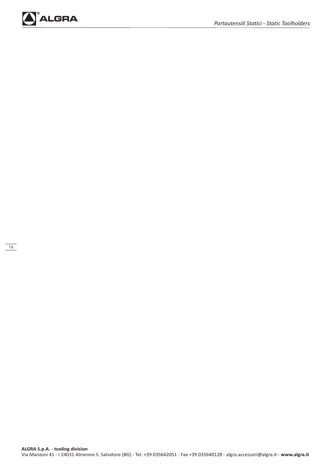

 $\overline{14}$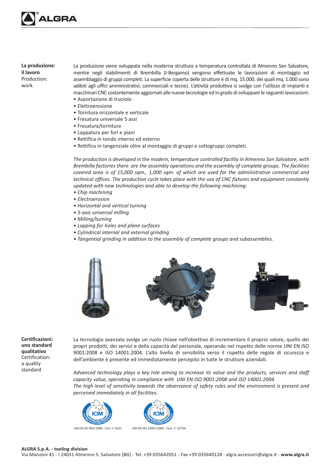## **La produzione: il lavoro** Production: work

La produzione viene sviluppata nella moderna struttura a temperatura controllata di Almenno San Salvatore, mentre negli stabilimenti di Brembilla (I-Bergamo) vengono effettuate le lavorazioni di montaggio ed assemblaggio di gruppi completi. La superficie coperta delle strutture è di mq. 15.000, dei quali mq. 1.000 sono adibiti agli uffici amministrativi, commerciali e tecnici. L'attività produttiva si svolge con l'utilizzo di impianti e macchinari CNC costantemente aggiornati alle nuove tecnologie ed in grado disviluppare le seguenti lavorazioni:

- Asportazione di truciolo • Elettroerosione
- Tornitura orizzontale e verticale
- Fresatura universale 5 assi
- Fresatura/tornitura
- Lappatura per fori e piani
- Rettifica in tondo interno ed esterno
- Rettifica in tangenziale oltre al montaggio di gruppi e sottogruppi completi.

*The production is developed in the modern, temperature controlled facility in Almenno San Salvatore, with Brembilla factories there are the assembly operations and the assembly of complete groups. The facilities covered area is of 15,000 sqm., 1,000 sqm. of which are used for the administrative commercial and technical offices. The production cycle takes place with the use of CNC fixtures and equipment constantly updated with new technologies and able to develop the following machining:*

- *• Chip machining*
- *• Electroerosion*
- *• Horizontal and vertical turning*
- *• 5-axis universal milling*
- *• Milling/turning*
- *• Lapping for holes and plane surfaces*
- *• Cylindrical internal and external grinding*
- *• Tangential grinding in addition to the assembly of complete groups and subassemblies.*







**Certificazioni: uno standard qualitativo** Certification: a quality standard

La tecnologia avanzata svolge un ruolo chiave nell'obiettivo di incrementare il proprio valore, quello dei propri prodotti, dei servizi e della capacità del personale, operando nel rispetto delle norme UNI EN ISO 9001:2008 e ISO 14001:2004. L'alto livello di sensibilità verso il rispetto delle regole di sicurezza e dell'ambiente è presente ed immediatamente percepito in tutte le strutture aziendali.

*Advanced technology plays a key role aiming to increase its value and the products, services and staff capacity value, operating in compliance with UNI EN ISO 9001:2008 and ISO 14001:2004. The high level of sensitivity towards the observance of safety rules and the environment is present and perceived immediately in all facilities.*





UNI EN ISO 9001:2008 - Cert. n° 0141 UNI EN ISO 14001:2004 - Cert. n° 0270A